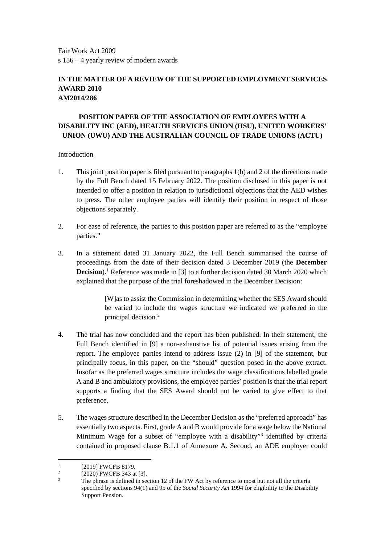Fair Work Act 2009 s 156 – 4 yearly review of modern awards

## **IN THE MATTER OF A REVIEW OF THE SUPPORTED EMPLOYMENT SERVICES AWARD 2010 AM2014/286**

# **POSITION PAPER OF THE ASSOCIATION OF EMPLOYEES WITH A DISABILITY INC (AED), HEALTH SERVICES UNION (HSU), UNITED WORKERS' UNION (UWU) AND THE AUSTRALIAN COUNCIL OF TRADE UNIONS (ACTU)**

### Introduction

- 1. This joint position paper is filed pursuant to paragraphs 1(b) and 2 of the directions made by the Full Bench dated 15 February 2022. The position disclosed in this paper is not intended to offer a position in relation to jurisdictional objections that the AED wishes to press. The other employee parties will identify their position in respect of those objections separately.
- 2. For ease of reference, the parties to this position paper are referred to as the "employee parties."
- 3. In a statement dated 31 January 2022, the Full Bench summarised the course of proceedings from the date of their decision dated 3 December 2019 (the **December Decision**).<sup>[1](#page-0-0)</sup> Reference was made in [3] to a further decision dated 30 March 2020 which explained that the purpose of the trial foreshadowed in the December Decision:

[W]as to assist the Commission in determining whether the SES Award should be varied to include the wages structure we indicated we preferred in the principal decision.[2](#page-0-1)

- 4. The trial has now concluded and the report has been published. In their statement, the Full Bench identified in [9] a non-exhaustive list of potential issues arising from the report. The employee parties intend to address issue (2) in [9] of the statement, but principally focus, in this paper, on the "should" question posed in the above extract. Insofar as the preferred wages structure includes the wage classifications labelled grade A and B and ambulatory provisions, the employee parties' position is that the trial report supports a finding that the SES Award should not be varied to give effect to that preference.
- 5. The wages structure described in the December Decision as the "preferred approach" has essentially two aspects. First, grade A and B would provide for a wage below the National Minimum Wage for a subset of "employee with a disability["3](#page-0-2) identified by criteria contained in proposed clause B.1.1 of Annexure A. Second, an ADE employer could

<span id="page-0-0"></span><sup>&</sup>lt;sup>1</sup> [2019] FWCFB 8179.

<span id="page-0-2"></span><span id="page-0-1"></span> $\frac{2}{3}$  [2020) FWCFB 343 at [3].

The phrase is defined in section 12 of the FW Act by reference to most but not all the criteria specified by sections 94(1) and 95 of the *Social Security Act* 1994 for eligibility to the Disability Support Pension.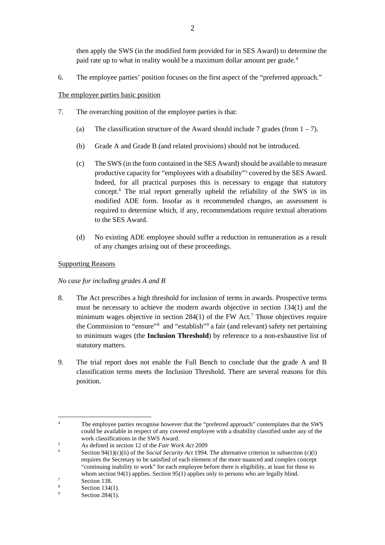then apply the SWS (in the modified form provided for in SES Award) to determine the paid rate up to what in reality would be a maximum dollar amount per grade. [4](#page-1-0)

6. The employee parties' position focuses on the first aspect of the "preferred approach."

The employee parties basic position

- 7. The overarching position of the employee parties is that:
	- (a) The classification structure of the Award should include 7 grades (from  $1 7$ ).
	- (b) Grade A and Grade B (and related provisions) should not be introduced.
	- (c) The SWS (in the form contained in the SES Award) should be available to measure productive capacity for "employees with a disability"<sup>[5](#page-1-1)</sup> covered by the SES Award. Indeed, for all practical purposes this is necessary to engage that statutory concept.[6](#page-1-2) The trial report generally upheld the reliability of the SWS in its modified ADE form. Insofar as it recommended changes, an assessment is required to determine which, if any, recommendations require textual alterations to the SES Award.
	- (d) No existing ADE employee should suffer a reduction in remuneration as a result of any changes arising out of these proceedings.

### Supporting Reasons

#### *No case for including grades A and B*

- 8. The Act prescribes a high threshold for inclusion of terms in awards. Prospective terms must be necessary to achieve the modern awards objective in section 134(1) and the minimum wages objective in section 284(1) of the FW Act.<sup>[7](#page-1-3)</sup> Those objectives require the Commission to "ensure"<sup>[8](#page-1-4)</sup> and "establish"<sup>[9](#page-1-5)</sup> a fair (and relevant) safety net pertaining to minimum wages (the **Inclusion Threshold**) by reference to a non-exhaustive list of statutory matters.
- 9. The trial report does not enable the Full Bench to conclude that the grade A and B classification terms meets the Inclusion Threshold. There are several reasons for this position.

<span id="page-1-0"></span><sup>&</sup>lt;sup>4</sup> The employee parties recognise however that the "preferred approach" contemplates that the SWS could be available in respect of any covered employee with a disability classified under any of the work classifications in the SWS Award.

<span id="page-1-1"></span><sup>&</sup>lt;sup>5</sup> As defined in section 12 of the *Fair Work Act* 2009<br>6 Section  $Q_1(1)(e)(ii)$  of the *Secial Security Act* 1004

<span id="page-1-2"></span><sup>6</sup> Section 94(1)(c)(ii) of the *Social Security Act* 1994. The alternative criterion in subsection (c)(i) requires the Secretary to be satisfied of each element of the more nuanced and complex concept "continuing inability to work" for each employee before there is eligibility, at least for those to whom section 94(1) applies. Section 95(1) applies only to persons who are legally blind.<br>Section 138.<br>Section 134(1)

<span id="page-1-3"></span>

<span id="page-1-5"></span><span id="page-1-4"></span> $\frac{8}{9}$  Section 134(1).

Section 284(1).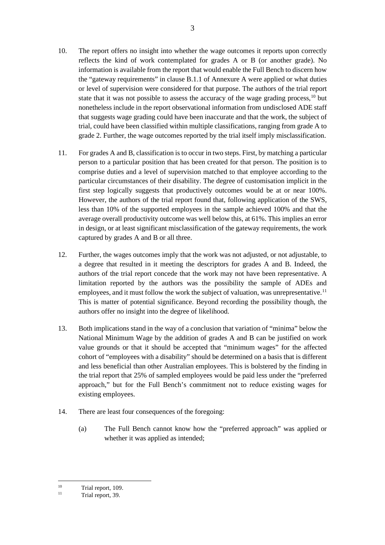- 10. The report offers no insight into whether the wage outcomes it reports upon correctly reflects the kind of work contemplated for grades A or B (or another grade). No information is available from the report that would enable the Full Bench to discern how the "gateway requirements" in clause B.1.1 of Annexure A were applied or what duties or level of supervision were considered for that purpose. The authors of the trial report state that it was not possible to assess the accuracy of the wage grading process,<sup>[10](#page-2-0)</sup> but nonetheless include in the report observational information from undisclosed ADE staff that suggests wage grading could have been inaccurate and that the work, the subject of trial, could have been classified within multiple classifications, ranging from grade A to grade 2. Further, the wage outcomes reported by the trial itself imply misclassification.
- 11. For grades A and B, classification is to occur in two steps. First, by matching a particular person to a particular position that has been created for that person. The position is to comprise duties and a level of supervision matched to that employee according to the particular circumstances of their disability. The degree of customisation implicit in the first step logically suggests that productively outcomes would be at or near 100%. However, the authors of the trial report found that, following application of the SWS, less than 10% of the supported employees in the sample achieved 100% and that the average overall productivity outcome was well below this, at 61%. This implies an error in design, or at least significant misclassification of the gateway requirements, the work captured by grades A and B or all three.
- 12. Further, the wages outcomes imply that the work was not adjusted, or not adjustable, to a degree that resulted in it meeting the descriptors for grades A and B. Indeed, the authors of the trial report concede that the work may not have been representative. A limitation reported by the authors was the possibility the sample of ADEs and employees, and it must follow the work the subject of valuation, was unrepresentative.<sup>[11](#page-2-1)</sup> This is matter of potential significance. Beyond recording the possibility though, the authors offer no insight into the degree of likelihood.
- 13. Both implications stand in the way of a conclusion that variation of "minima" below the National Minimum Wage by the addition of grades A and B can be justified on work value grounds or that it should be accepted that "minimum wages" for the affected cohort of "employees with a disability" should be determined on a basis that is different and less beneficial than other Australian employees. This is bolstered by the finding in the trial report that 25% of sampled employees would be paid less under the "preferred approach," but for the Full Bench's commitment not to reduce existing wages for existing employees.
- 14. There are least four consequences of the foregoing:
	- (a) The Full Bench cannot know how the "preferred approach" was applied or whether it was applied as intended;

<span id="page-2-1"></span><span id="page-2-0"></span> $\begin{array}{cc}\n 10 \\
 11\n \end{array}$  Trial report, 109.

Trial report, 39.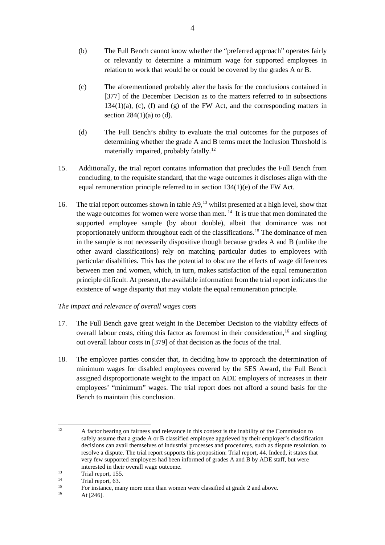- (b) The Full Bench cannot know whether the "preferred approach" operates fairly or relevantly to determine a minimum wage for supported employees in relation to work that would be or could be covered by the grades A or B.
- (c) The aforementioned probably alter the basis for the conclusions contained in [377] of the December Decision as to the matters referred to in subsections  $134(1)(a)$ , (c), (f) and (g) of the FW Act, and the corresponding matters in section  $284(1)(a)$  to (d).
- (d) The Full Bench's ability to evaluate the trial outcomes for the purposes of determining whether the grade A and B terms meet the Inclusion Threshold is materially impaired, probably fatally.<sup>[12](#page-3-0)</sup>
- 15. Additionally, the trial report contains information that precludes the Full Bench from concluding, to the requisite standard, that the wage outcomes it discloses align with the equal remuneration principle referred to in section 134(1)(e) of the FW Act.
- 16. The trial report outcomes shown in table A9,<sup>[13](#page-3-1)</sup> whilst presented at a high level, show that the wage outcomes for women were worse than men. [14](#page-3-2) It is true that men dominated the supported employee sample (by about double), albeit that dominance was not proportionately uniform throughout each of the classifications.[15](#page-3-3) The dominance of men in the sample is not necessarily dispositive though because grades A and B (unlike the other award classifications) rely on matching particular duties to employees with particular disabilities. This has the potential to obscure the effects of wage differences between men and women, which, in turn, makes satisfaction of the equal remuneration principle difficult. At present, the available information from the trial report indicates the existence of wage disparity that may violate the equal remuneration principle.

## *The impact and relevance of overall wages costs*

- 17. The Full Bench gave great weight in the December Decision to the viability effects of overall labour costs, citing this factor as foremost in their consideration, [16](#page-3-4) and singling out overall labour costs in [379] of that decision as the focus of the trial.
- 18. The employee parties consider that, in deciding how to approach the determination of minimum wages for disabled employees covered by the SES Award, the Full Bench assigned disproportionate weight to the impact on ADE employers of increases in their employees' "minimum" wages. The trial report does not afford a sound basis for the Bench to maintain this conclusion.

<span id="page-3-0"></span><sup>&</sup>lt;sup>12</sup> A factor bearing on fairness and relevance in this context is the inability of the Commission to safely assume that a grade A or B classified employee aggrieved by their employer's classification decisions can avail themselves of industrial processes and procedures, such as dispute resolution, to resolve a dispute. The trial report supports this proposition: Trial report, 44. Indeed, it states that very few supported employees had been informed of grades A and B by ADE staff, but were interested in their overall wage outcome.<br>
Trial report, 155.<br>
<sup>14</sup> Trial report 63.

<span id="page-3-2"></span><span id="page-3-1"></span> $\frac{14}{15}$  Trial report, 63.

<span id="page-3-4"></span><span id="page-3-3"></span><sup>&</sup>lt;sup>15</sup> For instance, many more men than women were classified at grade 2 and above.<br> $\frac{16}{\text{At } 1246}$ .